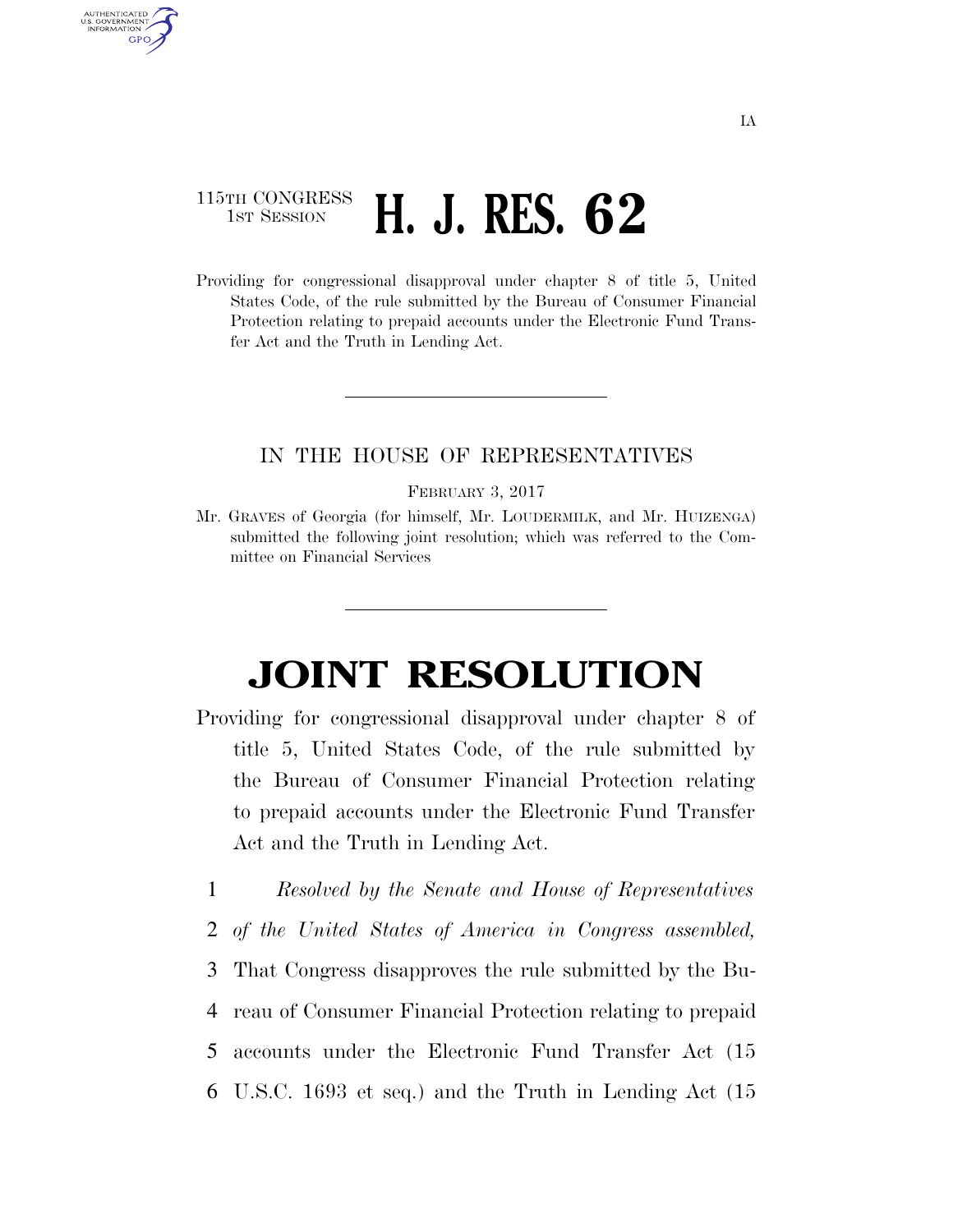## 115TH CONGRESS **1st Session H. J. RES. 62**

AUTHENTICATED U.S. GOVERNMENT **GPO** 

> Providing for congressional disapproval under chapter 8 of title 5, United States Code, of the rule submitted by the Bureau of Consumer Financial Protection relating to prepaid accounts under the Electronic Fund Transfer Act and the Truth in Lending Act.

## IN THE HOUSE OF REPRESENTATIVES

## FEBRUARY 3, 2017

Mr. GRAVES of Georgia (for himself, Mr. LOUDERMILK, and Mr. HUIZENGA) submitted the following joint resolution; which was referred to the Committee on Financial Services

## **JOINT RESOLUTION**

- Providing for congressional disapproval under chapter 8 of title 5, United States Code, of the rule submitted by the Bureau of Consumer Financial Protection relating to prepaid accounts under the Electronic Fund Transfer Act and the Truth in Lending Act.
	- 1 *Resolved by the Senate and House of Representatives*
	- 2 *of the United States of America in Congress assembled,*
	- 3 That Congress disapproves the rule submitted by the Bu-
	- 4 reau of Consumer Financial Protection relating to prepaid
	- 5 accounts under the Electronic Fund Transfer Act (15
	- 6 U.S.C. 1693 et seq.) and the Truth in Lending Act (15